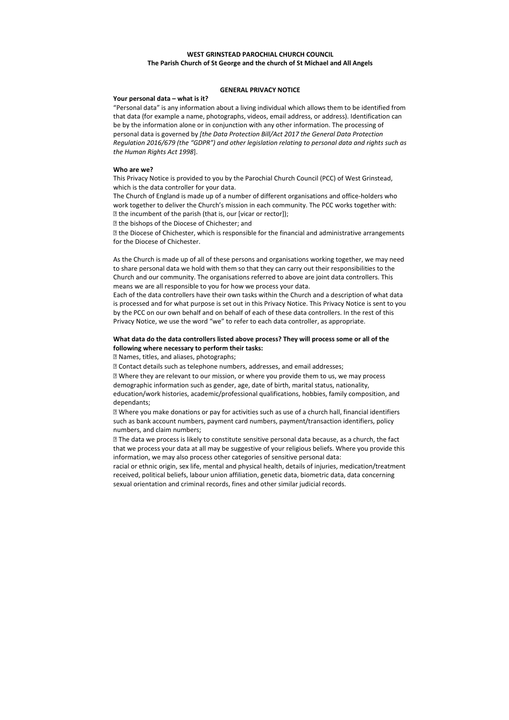# **WEST GRINSTEAD PAROCHIAL CHURCH COUNCIL The Parish Church of St George and the church of St Michael and All Angels**

### **GENERAL PRIVACY NOTICE**

#### **Your personal data – what is it?**

The Church of England is made up of a number of different organisations and office-holders who work together to deliver the Church's mission in each community. The PCC works together with:  $\mathbb E$  the incumbent of the parish (that is, our [vicar or rector]);

**D** the bishops of the Diocese of Chichester; and

"Personal data" is any information about a living individual which allows them to be identified from that data (for example a name, photographs, videos, email address, or address). Identification can be by the information alone or in conjunction with any other information. The processing of personal data is governed by *[the Data Protection Bill/Act 2017 the General Data Protection Regulation 2016/679 (the "GDPR") and other legislation relating to personal data and rights such as the Human Rights Act 1998*].

#### **Who are we?**

This Privacy Notice is provided to you by the Parochial Church Council (PCC) of West Grinstead, which is the data controller for your data.

 the Diocese of Chichester, which is responsible for the financial and administrative arrangements for the Diocese of Chichester.

As the Church is made up of all of these persons and organisations working together, we may need to share personal data we hold with them so that they can carry out their responsibilities to the Church and our community. The organisations referred to above are joint data controllers. This means we are all responsible to you for how we process your data.

Each of the data controllers have their own tasks within the Church and a description of what data is processed and for what purpose is set out in this Privacy Notice. This Privacy Notice is sent to you by the PCC on our own behalf and on behalf of each of these data controllers. In the rest of this Privacy Notice, we use the word "we" to refer to each data controller, as appropriate.

# **What data do the data controllers listed above process? They will process some or all of the following where necessary to perform their tasks:**

Names, titles, and aliases, photographs;

Contact details such as telephone numbers, addresses, and email addresses;

 Where they are relevant to our mission, or where you provide them to us, we may process demographic information such as gender, age, date of birth, marital status, nationality, education/work histories, academic/professional qualifications, hobbies, family composition, and dependants;

 Where you make donations or pay for activities such as use of a church hall, financial identifiers such as bank account numbers, payment card numbers, payment/transaction identifiers, policy numbers, and claim numbers;

 The data we process is likely to constitute sensitive personal data because, as a church, the fact that we process your data at all may be suggestive of your religious beliefs. Where you provide this information, we may also process other categories of sensitive personal data:

racial or ethnic origin, sex life, mental and physical health, details of injuries, medication/treatment received, political beliefs, labour union affiliation, genetic data, biometric data, data concerning sexual orientation and criminal records, fines and other similar judicial records.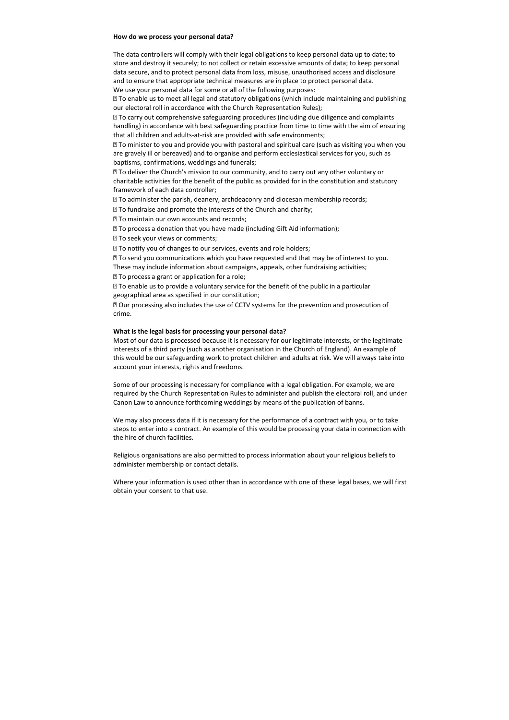#### **How do we process your personal data?**

The data controllers will comply with their legal obligations to keep personal data up to date; to store and destroy it securely; to not collect or retain excessive amounts of data; to keep personal data secure, and to protect personal data from loss, misuse, unauthorised access and disclosure and to ensure that appropriate technical measures are in place to protect personal data. We use your personal data for some or all of the following purposes:

**sqrt2To enable us to meet all legal and statutory obligations (which include maintaining and publishing** our electoral roll in accordance with the Church Representation Rules);

 To carry out comprehensive safeguarding procedures (including due diligence and complaints handling) in accordance with best safeguarding practice from time to time with the aim of ensuring that all children and adults-at-risk are provided with safe environments;

 To minister to you and provide you with pastoral and spiritual care (such as visiting you when you are gravely ill or bereaved) and to organise and perform ecclesiastical services for you, such as baptisms, confirmations, weddings and funerals;

 To deliver the Church's mission to our community, and to carry out any other voluntary or charitable activities for the benefit of the public as provided for in the constitution and statutory framework of each data controller;

To administer the parish, deanery, archdeaconry and diocesan membership records;

**sqrt7 To fundraise and promote the interests of the Church and charity;** 

**To maintain our own accounts and records;** 

To process a donation that you have made (including Gift Aid information);

**To seek your views or comments;** 

**sqrt7}7 To notify you of changes to our services, events and role holders;** 

**The send you communications which you have requested and that may be of interest to you.** 

These may include information about campaigns, appeals, other fundraising activities;

**To process a grant or application for a role;** 

 To enable us to provide a voluntary service for the benefit of the public in a particular geographical area as specified in our constitution;

 Our processing also includes the use of CCTV systems for the prevention and prosecution of crime.

### **What is the legal basis for processing your personal data?**

Most of our data is processed because it is necessary for our legitimate interests, or the legitimate interests of a third party (such as another organisation in the Church of England). An example of this would be our safeguarding work to protect children and adults at risk. We will always take into account your interests, rights and freedoms.

Some of our processing is necessary for compliance with a legal obligation. For example, we are required by the Church Representation Rules to administer and publish the electoral roll, and under Canon Law to announce forthcoming weddings by means of the publication of banns.

We may also process data if it is necessary for the performance of a contract with you, or to take steps to enter into a contract. An example of this would be processing your data in connection with the hire of church facilities.

Religious organisations are also permitted to process information about your religious beliefs to administer membership or contact details.

Where your information is used other than in accordance with one of these legal bases, we will first obtain your consent to that use.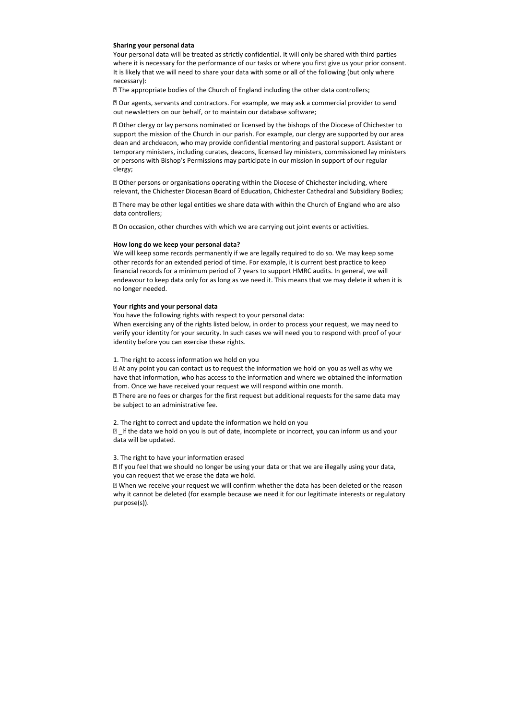### **Sharing your personal data**

Your personal data will be treated as strictly confidential. It will only be shared with third parties where it is necessary for the performance of our tasks or where you first give us your prior consent. It is likely that we will need to share your data with some or all of the following (but only where necessary):

The appropriate bodies of the Church of England including the other data controllers;

 Our agents, servants and contractors. For example, we may ask a commercial provider to send out newsletters on our behalf, or to maintain our database software;

**D** Other clergy or lay persons nominated or licensed by the bishops of the Diocese of Chichester to support the mission of the Church in our parish. For example, our clergy are supported by our area dean and archdeacon, who may provide confidential mentoring and pastoral support. Assistant or temporary ministers, including curates, deacons, licensed lay ministers, commissioned lay ministers or persons with Bishop's Permissions may participate in our mission in support of our regular clergy;

**D** Other persons or organisations operating within the Diocese of Chichester including, where relevant, the Chichester Diocesan Board of Education, Chichester Cathedral and Subsidiary Bodies;

**If There may be other legal entities we share data with within the Church of England who are also** data controllers;

**Deta on occasion, other churches with which we are carrying out joint events or activities.** 

⊠ There are no fees or charges for the first request but additional requests for the same data may be subject to an administrative fee.

 $\mathbb D$  If the data we hold on you is out of date, incomplete or incorrect, you can inform us and your data will be updated.

#### **How long do we keep your personal data?**

**If you feel that we should no longer be using your data or that we are illegally using your data,** you can request that we erase the data we hold.

We will keep some records permanently if we are legally required to do so. We may keep some other records for an extended period of time. For example, it is current best practice to keep financial records for a minimum period of 7 years to support HMRC audits. In general, we will endeavour to keep data only for as long as we need it. This means that we may delete it when it is no longer needed.

#### **Your rights and your personal data**

You have the following rights with respect to your personal data:

When exercising any of the rights listed below, in order to process your request, we may need to verify your identity for your security. In such cases we will need you to respond with proof of your identity before you can exercise these rights.

#### 1. The right to access information we hold on you

 At any point you can contact us to request the information we hold on you as well as why we have that information, who has access to the information and where we obtained the information from. Once we have received your request we will respond within one month.

2. The right to correct and update the information we hold on you

#### 3. The right to have your information erased

 When we receive your request we will confirm whether the data has been deleted or the reason why it cannot be deleted (for example because we need it for our legitimate interests or regulatory purpose(s)).